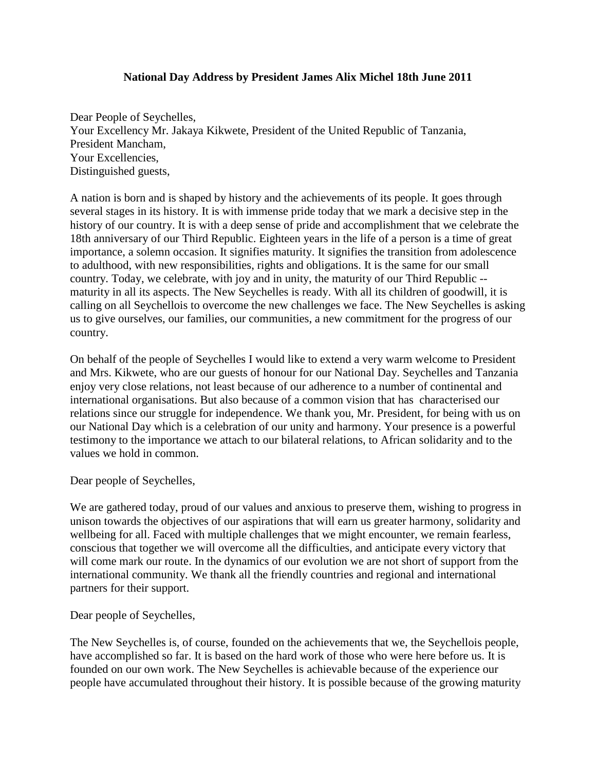## **National Day Address by President James Alix Michel 18th June 2011**

Dear People of Seychelles, Your Excellency Mr. Jakaya Kikwete, President of the United Republic of Tanzania, President Mancham, Your Excellencies, Distinguished guests,

A nation is born and is shaped by history and the achievements of its people. It goes through several stages in its history. It is with immense pride today that we mark a decisive step in the history of our country. It is with a deep sense of pride and accomplishment that we celebrate the 18th anniversary of our Third Republic. Eighteen years in the life of a person is a time of great importance, a solemn occasion. It signifies maturity. It signifies the transition from adolescence to adulthood, with new responsibilities, rights and obligations. It is the same for our small country. Today, we celebrate, with joy and in unity, the maturity of our Third Republic - maturity in all its aspects. The New Seychelles is ready. With all its children of goodwill, it is calling on all Seychellois to overcome the new challenges we face. The New Seychelles is asking us to give ourselves, our families, our communities, a new commitment for the progress of our country.

On behalf of the people of Seychelles I would like to extend a very warm welcome to President and Mrs. Kikwete, who are our guests of honour for our National Day. Seychelles and Tanzania enjoy very close relations, not least because of our adherence to a number of continental and international organisations. But also because of a common vision that has characterised our relations since our struggle for independence. We thank you, Mr. President, for being with us on our National Day which is a celebration of our unity and harmony. Your presence is a powerful testimony to the importance we attach to our bilateral relations, to African solidarity and to the values we hold in common.

Dear people of Seychelles,

We are gathered today, proud of our values and anxious to preserve them, wishing to progress in unison towards the objectives of our aspirations that will earn us greater harmony, solidarity and wellbeing for all. Faced with multiple challenges that we might encounter, we remain fearless, conscious that together we will overcome all the difficulties, and anticipate every victory that will come mark our route. In the dynamics of our evolution we are not short of support from the international community. We thank all the friendly countries and regional and international partners for their support.

Dear people of Seychelles,

The New Seychelles is, of course, founded on the achievements that we, the Seychellois people, have accomplished so far. It is based on the hard work of those who were here before us. It is founded on our own work. The New Seychelles is achievable because of the experience our people have accumulated throughout their history. It is possible because of the growing maturity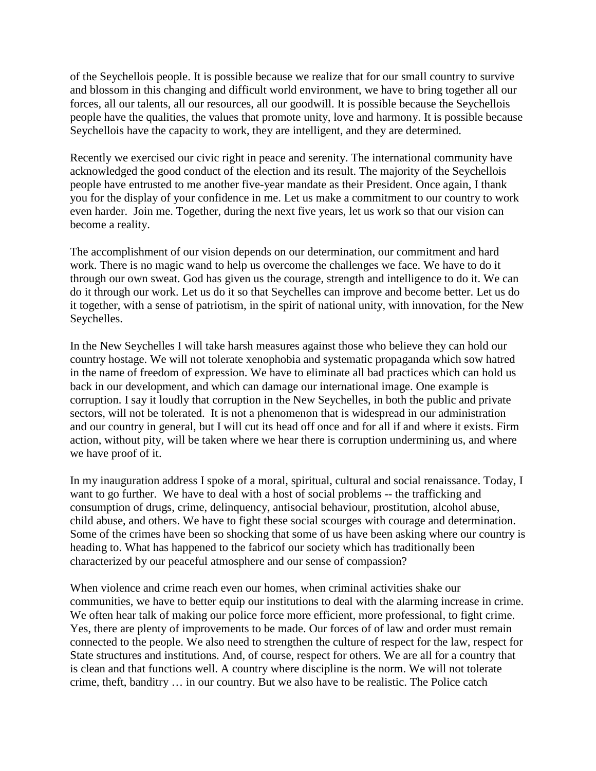of the Seychellois people. It is possible because we realize that for our small country to survive and blossom in this changing and difficult world environment, we have to bring together all our forces, all our talents, all our resources, all our goodwill. It is possible because the Seychellois people have the qualities, the values that promote unity, love and harmony. It is possible because Seychellois have the capacity to work, they are intelligent, and they are determined.

Recently we exercised our civic right in peace and serenity. The international community have acknowledged the good conduct of the election and its result. The majority of the Seychellois people have entrusted to me another five-year mandate as their President. Once again, I thank you for the display of your confidence in me. Let us make a commitment to our country to work even harder. Join me. Together, during the next five years, let us work so that our vision can become a reality.

The accomplishment of our vision depends on our determination, our commitment and hard work. There is no magic wand to help us overcome the challenges we face. We have to do it through our own sweat. God has given us the courage, strength and intelligence to do it. We can do it through our work. Let us do it so that Seychelles can improve and become better. Let us do it together, with a sense of patriotism, in the spirit of national unity, with innovation, for the New Seychelles.

In the New Seychelles I will take harsh measures against those who believe they can hold our country hostage. We will not tolerate xenophobia and systematic propaganda which sow hatred in the name of freedom of expression. We have to eliminate all bad practices which can hold us back in our development, and which can damage our international image. One example is corruption. I say it loudly that corruption in the New Seychelles, in both the public and private sectors, will not be tolerated. It is not a phenomenon that is widespread in our administration and our country in general, but I will cut its head off once and for all if and where it exists. Firm action, without pity, will be taken where we hear there is corruption undermining us, and where we have proof of it.

In my inauguration address I spoke of a moral, spiritual, cultural and social renaissance. Today, I want to go further. We have to deal with a host of social problems -- the trafficking and consumption of drugs, crime, delinquency, antisocial behaviour, prostitution, alcohol abuse, child abuse, and others. We have to fight these social scourges with courage and determination. Some of the crimes have been so shocking that some of us have been asking where our country is heading to. What has happened to the fabricof our society which has traditionally been characterized by our peaceful atmosphere and our sense of compassion?

When violence and crime reach even our homes, when criminal activities shake our communities, we have to better equip our institutions to deal with the alarming increase in crime. We often hear talk of making our police force more efficient, more professional, to fight crime. Yes, there are plenty of improvements to be made. Our forces of of law and order must remain connected to the people. We also need to strengthen the culture of respect for the law, respect for State structures and institutions. And, of course, respect for others. We are all for a country that is clean and that functions well. A country where discipline is the norm. We will not tolerate crime, theft, banditry … in our country. But we also have to be realistic. The Police catch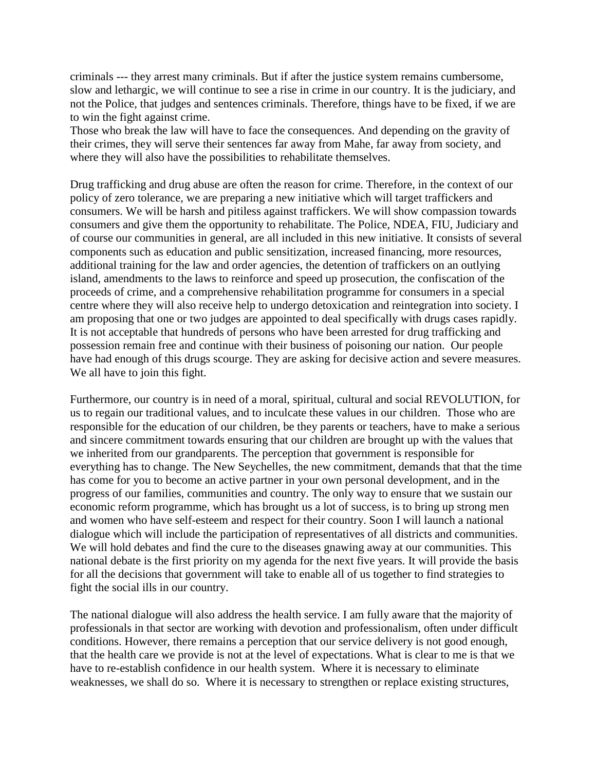criminals --- they arrest many criminals. But if after the justice system remains cumbersome, slow and lethargic, we will continue to see a rise in crime in our country. It is the judiciary, and not the Police, that judges and sentences criminals. Therefore, things have to be fixed, if we are to win the fight against crime.

Those who break the law will have to face the consequences. And depending on the gravity of their crimes, they will serve their sentences far away from Mahe, far away from society, and where they will also have the possibilities to rehabilitate themselves.

Drug trafficking and drug abuse are often the reason for crime. Therefore, in the context of our policy of zero tolerance, we are preparing a new initiative which will target traffickers and consumers. We will be harsh and pitiless against traffickers. We will show compassion towards consumers and give them the opportunity to rehabilitate. The Police, NDEA, FIU, Judiciary and of course our communities in general, are all included in this new initiative. It consists of several components such as education and public sensitization, increased financing, more resources, additional training for the law and order agencies, the detention of traffickers on an outlying island, amendments to the laws to reinforce and speed up prosecution, the confiscation of the proceeds of crime, and a comprehensive rehabilitation programme for consumers in a special centre where they will also receive help to undergo detoxication and reintegration into society. I am proposing that one or two judges are appointed to deal specifically with drugs cases rapidly. It is not acceptable that hundreds of persons who have been arrested for drug trafficking and possession remain free and continue with their business of poisoning our nation. Our people have had enough of this drugs scourge. They are asking for decisive action and severe measures. We all have to join this fight.

Furthermore, our country is in need of a moral, spiritual, cultural and social REVOLUTION, for us to regain our traditional values, and to inculcate these values in our children. Those who are responsible for the education of our children, be they parents or teachers, have to make a serious and sincere commitment towards ensuring that our children are brought up with the values that we inherited from our grandparents. The perception that government is responsible for everything has to change. The New Seychelles, the new commitment, demands that that the time has come for you to become an active partner in your own personal development, and in the progress of our families, communities and country. The only way to ensure that we sustain our economic reform programme, which has brought us a lot of success, is to bring up strong men and women who have self-esteem and respect for their country. Soon I will launch a national dialogue which will include the participation of representatives of all districts and communities. We will hold debates and find the cure to the diseases gnawing away at our communities. This national debate is the first priority on my agenda for the next five years. It will provide the basis for all the decisions that government will take to enable all of us together to find strategies to fight the social ills in our country.

The national dialogue will also address the health service. I am fully aware that the majority of professionals in that sector are working with devotion and professionalism, often under difficult conditions. However, there remains a perception that our service delivery is not good enough, that the health care we provide is not at the level of expectations. What is clear to me is that we have to re-establish confidence in our health system. Where it is necessary to eliminate weaknesses, we shall do so. Where it is necessary to strengthen or replace existing structures,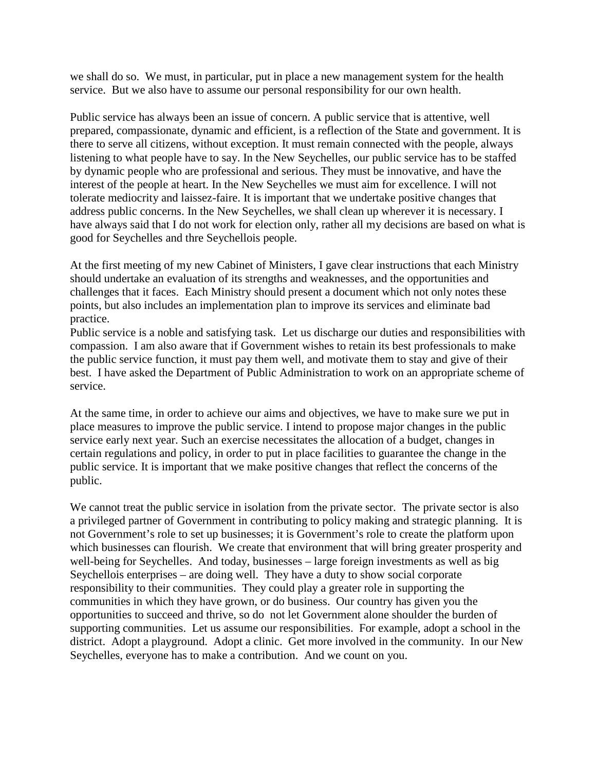we shall do so. We must, in particular, put in place a new management system for the health service. But we also have to assume our personal responsibility for our own health.

Public service has always been an issue of concern. A public service that is attentive, well prepared, compassionate, dynamic and efficient, is a reflection of the State and government. It is there to serve all citizens, without exception. It must remain connected with the people, always listening to what people have to say. In the New Seychelles, our public service has to be staffed by dynamic people who are professional and serious. They must be innovative, and have the interest of the people at heart. In the New Seychelles we must aim for excellence. I will not tolerate mediocrity and laissez-faire. It is important that we undertake positive changes that address public concerns. In the New Seychelles, we shall clean up wherever it is necessary. I have always said that I do not work for election only, rather all my decisions are based on what is good for Seychelles and thre Seychellois people.

At the first meeting of my new Cabinet of Ministers, I gave clear instructions that each Ministry should undertake an evaluation of its strengths and weaknesses, and the opportunities and challenges that it faces. Each Ministry should present a document which not only notes these points, but also includes an implementation plan to improve its services and eliminate bad practice.

Public service is a noble and satisfying task. Let us discharge our duties and responsibilities with compassion. I am also aware that if Government wishes to retain its best professionals to make the public service function, it must pay them well, and motivate them to stay and give of their best. I have asked the Department of Public Administration to work on an appropriate scheme of service.

At the same time, in order to achieve our aims and objectives, we have to make sure we put in place measures to improve the public service. I intend to propose major changes in the public service early next year. Such an exercise necessitates the allocation of a budget, changes in certain regulations and policy, in order to put in place facilities to guarantee the change in the public service. It is important that we make positive changes that reflect the concerns of the public.

We cannot treat the public service in isolation from the private sector. The private sector is also a privileged partner of Government in contributing to policy making and strategic planning. It is not Government's role to set up businesses; it is Government's role to create the platform upon which businesses can flourish. We create that environment that will bring greater prosperity and well-being for Seychelles. And today, businesses – large foreign investments as well as big Seychellois enterprises – are doing well. They have a duty to show social corporate responsibility to their communities. They could play a greater role in supporting the communities in which they have grown, or do business. Our country has given you the opportunities to succeed and thrive, so do not let Government alone shoulder the burden of supporting communities. Let us assume our responsibilities. For example, adopt a school in the district. Adopt a playground. Adopt a clinic. Get more involved in the community. In our New Seychelles, everyone has to make a contribution. And we count on you.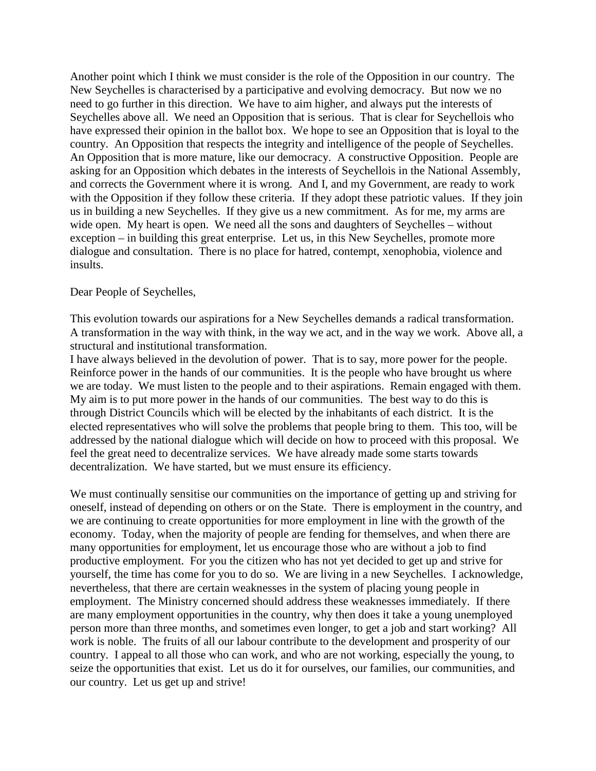Another point which I think we must consider is the role of the Opposition in our country. The New Seychelles is characterised by a participative and evolving democracy. But now we no need to go further in this direction. We have to aim higher, and always put the interests of Seychelles above all. We need an Opposition that is serious. That is clear for Seychellois who have expressed their opinion in the ballot box. We hope to see an Opposition that is loyal to the country. An Opposition that respects the integrity and intelligence of the people of Seychelles. An Opposition that is more mature, like our democracy. A constructive Opposition. People are asking for an Opposition which debates in the interests of Seychellois in the National Assembly, and corrects the Government where it is wrong. And I, and my Government, are ready to work with the Opposition if they follow these criteria. If they adopt these patriotic values. If they join us in building a new Seychelles. If they give us a new commitment. As for me, my arms are wide open. My heart is open. We need all the sons and daughters of Seychelles – without exception – in building this great enterprise. Let us, in this New Seychelles, promote more dialogue and consultation. There is no place for hatred, contempt, xenophobia, violence and insults.

## Dear People of Seychelles,

This evolution towards our aspirations for a New Seychelles demands a radical transformation. A transformation in the way with think, in the way we act, and in the way we work. Above all, a structural and institutional transformation.

I have always believed in the devolution of power. That is to say, more power for the people. Reinforce power in the hands of our communities. It is the people who have brought us where we are today. We must listen to the people and to their aspirations. Remain engaged with them. My aim is to put more power in the hands of our communities. The best way to do this is through District Councils which will be elected by the inhabitants of each district. It is the elected representatives who will solve the problems that people bring to them. This too, will be addressed by the national dialogue which will decide on how to proceed with this proposal. We feel the great need to decentralize services. We have already made some starts towards decentralization. We have started, but we must ensure its efficiency.

We must continually sensitise our communities on the importance of getting up and striving for oneself, instead of depending on others or on the State. There is employment in the country, and we are continuing to create opportunities for more employment in line with the growth of the economy. Today, when the majority of people are fending for themselves, and when there are many opportunities for employment, let us encourage those who are without a job to find productive employment. For you the citizen who has not yet decided to get up and strive for yourself, the time has come for you to do so. We are living in a new Seychelles. I acknowledge, nevertheless, that there are certain weaknesses in the system of placing young people in employment. The Ministry concerned should address these weaknesses immediately. If there are many employment opportunities in the country, why then does it take a young unemployed person more than three months, and sometimes even longer, to get a job and start working? All work is noble. The fruits of all our labour contribute to the development and prosperity of our country. I appeal to all those who can work, and who are not working, especially the young, to seize the opportunities that exist. Let us do it for ourselves, our families, our communities, and our country. Let us get up and strive!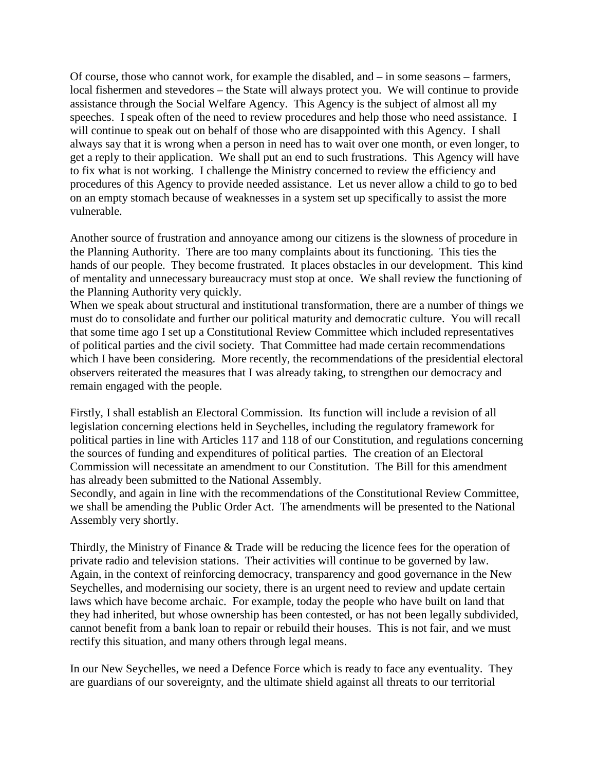Of course, those who cannot work, for example the disabled, and – in some seasons – farmers, local fishermen and stevedores – the State will always protect you. We will continue to provide assistance through the Social Welfare Agency. This Agency is the subject of almost all my speeches. I speak often of the need to review procedures and help those who need assistance. I will continue to speak out on behalf of those who are disappointed with this Agency. I shall always say that it is wrong when a person in need has to wait over one month, or even longer, to get a reply to their application. We shall put an end to such frustrations. This Agency will have to fix what is not working. I challenge the Ministry concerned to review the efficiency and procedures of this Agency to provide needed assistance. Let us never allow a child to go to bed on an empty stomach because of weaknesses in a system set up specifically to assist the more vulnerable.

Another source of frustration and annoyance among our citizens is the slowness of procedure in the Planning Authority. There are too many complaints about its functioning. This ties the hands of our people. They become frustrated. It places obstacles in our development. This kind of mentality and unnecessary bureaucracy must stop at once. We shall review the functioning of the Planning Authority very quickly.

When we speak about structural and institutional transformation, there are a number of things we must do to consolidate and further our political maturity and democratic culture. You will recall that some time ago I set up a Constitutional Review Committee which included representatives of political parties and the civil society. That Committee had made certain recommendations which I have been considering. More recently, the recommendations of the presidential electoral observers reiterated the measures that I was already taking, to strengthen our democracy and remain engaged with the people.

Firstly, I shall establish an Electoral Commission. Its function will include a revision of all legislation concerning elections held in Seychelles, including the regulatory framework for political parties in line with Articles 117 and 118 of our Constitution, and regulations concerning the sources of funding and expenditures of political parties. The creation of an Electoral Commission will necessitate an amendment to our Constitution. The Bill for this amendment has already been submitted to the National Assembly.

Secondly, and again in line with the recommendations of the Constitutional Review Committee, we shall be amending the Public Order Act. The amendments will be presented to the National Assembly very shortly.

Thirdly, the Ministry of Finance & Trade will be reducing the licence fees for the operation of private radio and television stations. Their activities will continue to be governed by law. Again, in the context of reinforcing democracy, transparency and good governance in the New Seychelles, and modernising our society, there is an urgent need to review and update certain laws which have become archaic. For example, today the people who have built on land that they had inherited, but whose ownership has been contested, or has not been legally subdivided, cannot benefit from a bank loan to repair or rebuild their houses. This is not fair, and we must rectify this situation, and many others through legal means.

In our New Seychelles, we need a Defence Force which is ready to face any eventuality. They are guardians of our sovereignty, and the ultimate shield against all threats to our territorial